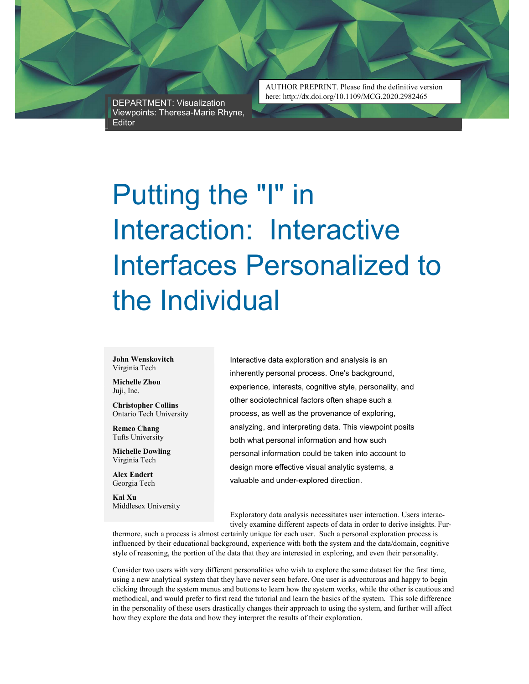DEPARTMENT: Visualization Viewpoints: Theresa-Marie Rhyne, **Editor** 

AUTHOR PREPRINT. Please find the definitive version here: http://dx.doi.org/10.1109/MCG.2020.2982465

# Putting the "I" in Interaction: Interactive Interfaces Personalized to the Individual

John Wenskovitch Virginia Tech

Michelle Zhou Juji, Inc.

Christopher Collins Ontario Tech University

Remco Chang Tufts University

Michelle Dowling Virginia Tech

Alex Endert Georgia Tech

Kai Xu Middlesex University

Interactive data exploration and analysis is an inherently personal process. One's background, experience, interests, cognitive style, personality, and other sociotechnical factors often shape such a process, as well as the provenance of exploring, analyzing, and interpreting data. This viewpoint posits both what personal information and how such personal information could be taken into account to design more effective visual analytic systems, a valuable and under-explored direction.

Exploratory data analysis necessitates user interaction. Users interactively examine different aspects of data in order to derive insights. Fur-

thermore, such a process is almost certainly unique for each user. Such a personal exploration process is influenced by their educational background, experience with both the system and the data/domain, cognitive style of reasoning, the portion of the data that they are interested in exploring, and even their personality.

Consider two users with very different personalities who wish to explore the same dataset for the first time, using a new analytical system that they have never seen before. One user is adventurous and happy to begin clicking through the system menus and buttons to learn how the system works, while the other is cautious and methodical, and would prefer to first read the tutorial and learn the basics of the system. This sole difference in the personality of these users drastically changes their approach to using the system, and further will affect how they explore the data and how they interpret the results of their exploration.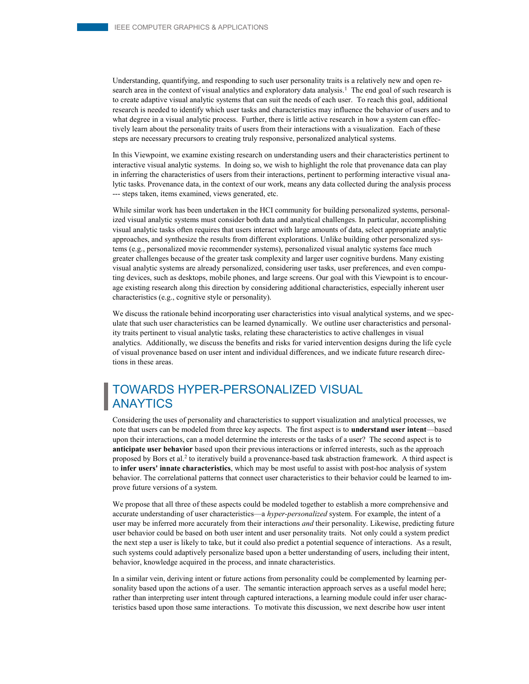Understanding, quantifying, and responding to such user personality traits is a relatively new and open research area in the context of visual analytics and exploratory data analysis.<sup>1</sup> The end goal of such research is to create adaptive visual analytic systems that can suit the needs of each user. To reach this goal, additional research is needed to identify which user tasks and characteristics may influence the behavior of users and to what degree in a visual analytic process. Further, there is little active research in how a system can effectively learn about the personality traits of users from their interactions with a visualization. Each of these steps are necessary precursors to creating truly responsive, personalized analytical systems.

In this Viewpoint, we examine existing research on understanding users and their characteristics pertinent to interactive visual analytic systems. In doing so, we wish to highlight the role that provenance data can play in inferring the characteristics of users from their interactions, pertinent to performing interactive visual analytic tasks. Provenance data, in the context of our work, means any data collected during the analysis process --- steps taken, items examined, views generated, etc.

While similar work has been undertaken in the HCI community for building personalized systems, personalized visual analytic systems must consider both data and analytical challenges. In particular, accomplishing visual analytic tasks often requires that users interact with large amounts of data, select appropriate analytic approaches, and synthesize the results from different explorations. Unlike building other personalized systems (e.g., personalized movie recommender systems), personalized visual analytic systems face much greater challenges because of the greater task complexity and larger user cognitive burdens. Many existing visual analytic systems are already personalized, considering user tasks, user preferences, and even computing devices, such as desktops, mobile phones, and large screens. Our goal with this Viewpoint is to encourage existing research along this direction by considering additional characteristics, especially inherent user characteristics (e.g., cognitive style or personality).

We discuss the rationale behind incorporating user characteristics into visual analytical systems, and we speculate that such user characteristics can be learned dynamically. We outline user characteristics and personality traits pertinent to visual analytic tasks, relating these characteristics to active challenges in visual analytics. Additionally, we discuss the benefits and risks for varied intervention designs during the life cycle of visual provenance based on user intent and individual differences, and we indicate future research directions in these areas.

# TOWARDS HYPER-PERSONALIZED VISUAL ANAYTICS

Considering the uses of personality and characteristics to support visualization and analytical processes, we note that users can be modeled from three key aspects. The first aspect is to understand user intent—based upon their interactions, can a model determine the interests or the tasks of a user? The second aspect is to anticipate user behavior based upon their previous interactions or inferred interests, such as the approach proposed by Bors et al.<sup>2</sup> to iteratively build a provenance-based task abstraction framework. A third aspect is to infer users' innate characteristics, which may be most useful to assist with post-hoc analysis of system behavior. The correlational patterns that connect user characteristics to their behavior could be learned to improve future versions of a system.

We propose that all three of these aspects could be modeled together to establish a more comprehensive and accurate understanding of user characteristics—a *hyper-personalized* system. For example, the intent of a user may be inferred more accurately from their interactions *and* their personality. Likewise, predicting future user behavior could be based on both user intent and user personality traits. Not only could a system predict the next step a user is likely to take, but it could also predict a potential sequence of interactions. As a result, such systems could adaptively personalize based upon a better understanding of users, including their intent, behavior, knowledge acquired in the process, and innate characteristics.

In a similar vein, deriving intent or future actions from personality could be complemented by learning personality based upon the actions of a user. The semantic interaction approach serves as a useful model here; rather than interpreting user intent through captured interactions, a learning module could infer user characteristics based upon those same interactions. To motivate this discussion, we next describe how user intent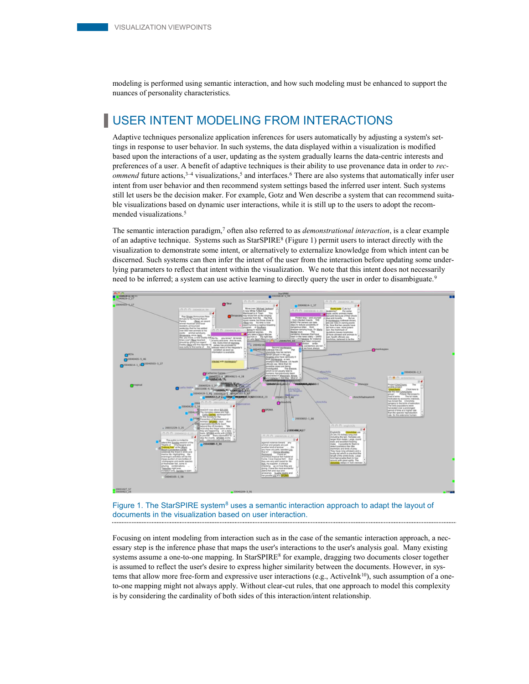modeling is performed using semantic interaction, and how such modeling must be enhanced to support the nuances of personality characteristics.

# USER INTENT MODELING FROM INTERACTIONS

Adaptive techniques personalize application inferences for users automatically by adjusting a system's settings in response to user behavior. In such systems, the data displayed within a visualization is modified based upon the interactions of a user, updating as the system gradually learns the data-centric interests and preferences of a user. A benefit of adaptive techniques is their ability to use provenance data in order to rec*ommend* future actions,<sup>3-4</sup> visualizations,<sup>5</sup> and interfaces.<sup>6</sup> There are also systems that automatically infer user intent from user behavior and then recommend system settings based the inferred user intent. Such systems still let users be the decision maker. For example, Gotz and Wen describe a system that can recommend suitable visualizations based on dynamic user interactions, while it is still up to the users to adopt the recommended visualizations.<sup>5</sup>

The semantic interaction paradigm,<sup>7</sup> often also referred to as *demonstrational interaction*, is a clear example of an adaptive technique. Systems such as StarSPIRE<sup>8</sup> (Figure 1) permit users to interact directly with the visualization to demonstrate some intent, or alternatively to externalize knowledge from which intent can be discerned. Such systems can then infer the intent of the user from the interaction before updating some underlying parameters to reflect that intent within the visualization. We note that this intent does not necessarily need to be inferred; a system can use active learning to directly query the user in order to disambiguate.<sup>9</sup>





Focusing on intent modeling from interaction such as in the case of the semantic interaction approach, a necessary step is the inference phase that maps the user's interactions to the user's analysis goal. Many existing systems assume a one-to-one mapping. In StarSPIRE<sup>8</sup> for example, dragging two documents closer together is assumed to reflect the user's desire to express higher similarity between the documents. However, in systems that allow more free-form and expressive user interactions (e.g., ActiveInk<sup>10</sup>), such assumption of a oneto-one mapping might not always apply. Without clear-cut rules, that one approach to model this complexity is by considering the cardinality of both sides of this interaction/intent relationship.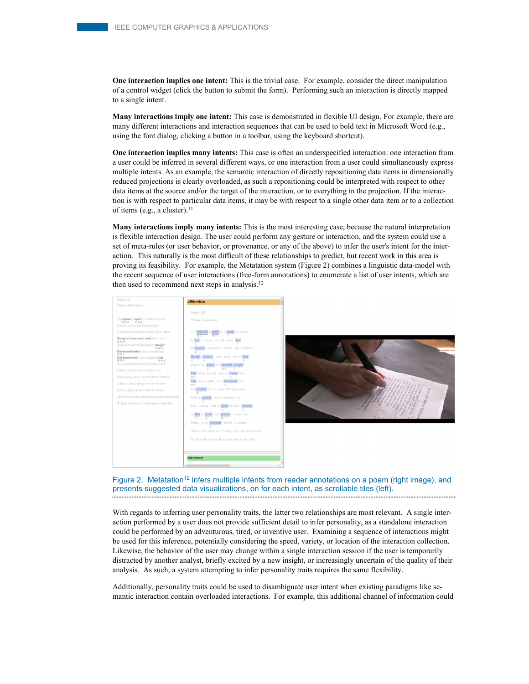One interaction implies one intent: This is the trivial case. For example, consider the direct manipulation of a control widget (click the button to submit the form). Performing such an interaction is directly mapped to a single intent.

Many interactions imply one intent: This case is demonstrated in flexible UI design. For example, there are many different interactions and interaction sequences that can be used to bold text in Microsoft Word (e.g., using the font dialog, clicking a button in a toolbar, using the keyboard shortcut).

One interaction implies many intents: This case is often an underspecified interaction: one interaction from a user could be inferred in several different ways, or one interaction from a user could simultaneously express multiple intents. As an example, the semantic interaction of directly repositioning data items in dimensionally reduced projections is clearly overloaded, as such a repositioning could be interpreted with respect to other data items at the source and/or the target of the interaction, or to everything in the projection. If the interaction is with respect to particular data items, it may be with respect to a single other data item or to a collection of items (e.g., a cluster).<sup>11</sup>

Many interactions imply many intents: This is the most interesting case, because the natural interpretation is flexible interaction design. The user could perform any gesture or interaction, and the system could use a set of meta-rules (or user behavior, or provenance, or any of the above) to infer the user's intent for the interaction. This naturally is the most difficult of these relationships to predict, but recent work in this area is proving its feasibility. For example, the Metatation system (Figure 2) combines a linguistic data-model with the recent sequence of user interactions (free-form annotations) to enumerate a list of user intents, which are then used to recommend next steps in analysis.<sup>12</sup>







With regards to inferring user personality traits, the latter two relationships are most relevant. A single interaction performed by a user does not provide sufficient detail to infer personality, as a standalone interaction could be performed by an adventurous, tired, or inventive user. Examining a sequence of interactions might be used for this inference, potentially considering the speed, variety, or location of the interaction collection. Likewise, the behavior of the user may change within a single interaction session if the user is temporarily distracted by another analyst, briefly excited by a new insight, or increasingly uncertain of the quality of their analysis. As such, a system attempting to infer personality traits requires the same flexibility.

Additionally, personality traits could be used to disambiguate user intent when existing paradigms like semantic interaction contain overloaded interactions. For example, this additional channel of information could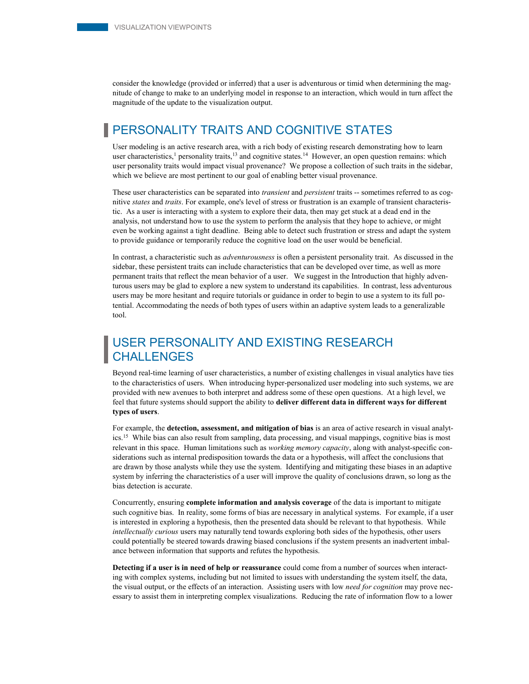consider the knowledge (provided or inferred) that a user is adventurous or timid when determining the magnitude of change to make to an underlying model in response to an interaction, which would in turn affect the magnitude of the update to the visualization output.

## PERSONALITY TRAITS AND COGNITIVE STATES

User modeling is an active research area, with a rich body of existing research demonstrating how to learn user characteristics,<sup>1</sup> personality traits,<sup>13</sup> and cognitive states.<sup>14</sup> However, an open question remains: which user personality traits would impact visual provenance? We propose a collection of such traits in the sidebar, which we believe are most pertinent to our goal of enabling better visual provenance.

These user characteristics can be separated into *transient* and *persistent* traits -- sometimes referred to as cognitive *states* and *traits*. For example, one's level of stress or frustration is an example of transient characteristic. As a user is interacting with a system to explore their data, then may get stuck at a dead end in the analysis, not understand how to use the system to perform the analysis that they hope to achieve, or might even be working against a tight deadline. Being able to detect such frustration or stress and adapt the system to provide guidance or temporarily reduce the cognitive load on the user would be beneficial.

In contrast, a characteristic such as *adventurousness* is often a persistent personality trait. As discussed in the sidebar, these persistent traits can include characteristics that can be developed over time, as well as more permanent traits that reflect the mean behavior of a user. We suggest in the Introduction that highly adventurous users may be glad to explore a new system to understand its capabilities. In contrast, less adventurous users may be more hesitant and require tutorials or guidance in order to begin to use a system to its full potential. Accommodating the needs of both types of users within an adaptive system leads to a generalizable tool.

## USER PERSONALITY AND EXISTING RESEARCH CHALLENGES

Beyond real-time learning of user characteristics, a number of existing challenges in visual analytics have ties to the characteristics of users. When introducing hyper-personalized user modeling into such systems, we are provided with new avenues to both interpret and address some of these open questions. At a high level, we feel that future systems should support the ability to deliver different data in different ways for different types of users.

For example, the detection, assessment, and mitigation of bias is an area of active research in visual analytics.<sup>15</sup> While bias can also result from sampling, data processing, and visual mappings, cognitive bias is most relevant in this space. Human limitations such as *working memory capacity*, along with analyst-specific considerations such as internal predisposition towards the data or a hypothesis, will affect the conclusions that are drawn by those analysts while they use the system. Identifying and mitigating these biases in an adaptive system by inferring the characteristics of a user will improve the quality of conclusions drawn, so long as the bias detection is accurate.

Concurrently, ensuring complete information and analysis coverage of the data is important to mitigate such cognitive bias. In reality, some forms of bias are necessary in analytical systems. For example, if a user is interested in exploring a hypothesis, then the presented data should be relevant to that hypothesis. While intellectually curious users may naturally tend towards exploring both sides of the hypothesis, other users could potentially be steered towards drawing biased conclusions if the system presents an inadvertent imbalance between information that supports and refutes the hypothesis.

Detecting if a user is in need of help or reassurance could come from a number of sources when interacting with complex systems, including but not limited to issues with understanding the system itself, the data, the visual output, or the effects of an interaction. Assisting users with low need for cognition may prove necessary to assist them in interpreting complex visualizations. Reducing the rate of information flow to a lower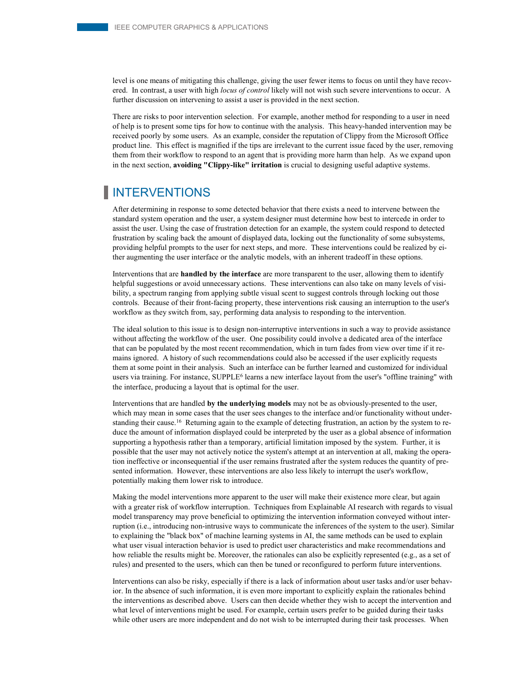level is one means of mitigating this challenge, giving the user fewer items to focus on until they have recovered. In contrast, a user with high locus of control likely will not wish such severe interventions to occur. A further discussion on intervening to assist a user is provided in the next section.

There are risks to poor intervention selection. For example, another method for responding to a user in need of help is to present some tips for how to continue with the analysis. This heavy-handed intervention may be received poorly by some users. As an example, consider the reputation of Clippy from the Microsoft Office product line. This effect is magnified if the tips are irrelevant to the current issue faced by the user, removing them from their workflow to respond to an agent that is providing more harm than help. As we expand upon in the next section, avoiding "Clippy-like" irritation is crucial to designing useful adaptive systems.

### **INTERVENTIONS**

After determining in response to some detected behavior that there exists a need to intervene between the standard system operation and the user, a system designer must determine how best to intercede in order to assist the user. Using the case of frustration detection for an example, the system could respond to detected frustration by scaling back the amount of displayed data, locking out the functionality of some subsystems, providing helpful prompts to the user for next steps, and more. These interventions could be realized by either augmenting the user interface or the analytic models, with an inherent tradeoff in these options.

Interventions that are handled by the interface are more transparent to the user, allowing them to identify helpful suggestions or avoid unnecessary actions. These interventions can also take on many levels of visibility, a spectrum ranging from applying subtle visual scent to suggest controls through locking out those controls. Because of their front-facing property, these interventions risk causing an interruption to the user's workflow as they switch from, say, performing data analysis to responding to the intervention.

The ideal solution to this issue is to design non-interruptive interventions in such a way to provide assistance without affecting the workflow of the user. One possibility could involve a dedicated area of the interface that can be populated by the most recent recommendation, which in turn fades from view over time if it remains ignored. A history of such recommendations could also be accessed if the user explicitly requests them at some point in their analysis. Such an interface can be further learned and customized for individual users via training. For instance, SUPPLE<sup>6</sup> learns a new interface layout from the user's "offline training" with the interface, producing a layout that is optimal for the user.

Interventions that are handled by the underlying models may not be as obviously-presented to the user, which may mean in some cases that the user sees changes to the interface and/or functionality without understanding their cause.<sup>16</sup> Returning again to the example of detecting frustration, an action by the system to reduce the amount of information displayed could be interpreted by the user as a global absence of information supporting a hypothesis rather than a temporary, artificial limitation imposed by the system. Further, it is possible that the user may not actively notice the system's attempt at an intervention at all, making the operation ineffective or inconsequential if the user remains frustrated after the system reduces the quantity of presented information. However, these interventions are also less likely to interrupt the user's workflow, potentially making them lower risk to introduce.

Making the model interventions more apparent to the user will make their existence more clear, but again with a greater risk of workflow interruption. Techniques from Explainable AI research with regards to visual model transparency may prove beneficial to optimizing the intervention information conveyed without interruption (i.e., introducing non-intrusive ways to communicate the inferences of the system to the user). Similar to explaining the "black box" of machine learning systems in AI, the same methods can be used to explain what user visual interaction behavior is used to predict user characteristics and make recommendations and how reliable the results might be. Moreover, the rationales can also be explicitly represented (e.g., as a set of rules) and presented to the users, which can then be tuned or reconfigured to perform future interventions.

Interventions can also be risky, especially if there is a lack of information about user tasks and/or user behavior. In the absence of such information, it is even more important to explicitly explain the rationales behind the interventions as described above. Users can then decide whether they wish to accept the intervention and what level of interventions might be used. For example, certain users prefer to be guided during their tasks while other users are more independent and do not wish to be interrupted during their task processes. When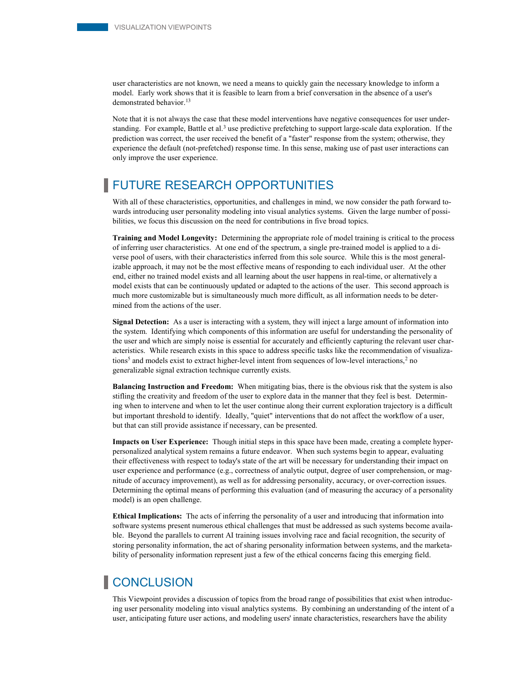user characteristics are not known, we need a means to quickly gain the necessary knowledge to inform a model. Early work shows that it is feasible to learn from a brief conversation in the absence of a user's demonstrated behavior.<sup>13</sup>

Note that it is not always the case that these model interventions have negative consequences for user understanding. For example, Battle et al.<sup>3</sup> use predictive prefetching to support large-scale data exploration. If the prediction was correct, the user received the benefit of a "faster" response from the system; otherwise, they experience the default (not-prefetched) response time. In this sense, making use of past user interactions can only improve the user experience.

## **FUTURE RESEARCH OPPORTUNITIES**

With all of these characteristics, opportunities, and challenges in mind, we now consider the path forward towards introducing user personality modeling into visual analytics systems. Given the large number of possibilities, we focus this discussion on the need for contributions in five broad topics.

Training and Model Longevity: Determining the appropriate role of model training is critical to the process of inferring user characteristics. At one end of the spectrum, a single pre-trained model is applied to a diverse pool of users, with their characteristics inferred from this sole source. While this is the most generalizable approach, it may not be the most effective means of responding to each individual user. At the other end, either no trained model exists and all learning about the user happens in real-time, or alternatively a model exists that can be continuously updated or adapted to the actions of the user. This second approach is much more customizable but is simultaneously much more difficult, as all information needs to be determined from the actions of the user.

Signal Detection: As a user is interacting with a system, they will inject a large amount of information into the system. Identifying which components of this information are useful for understanding the personality of the user and which are simply noise is essential for accurately and efficiently capturing the relevant user characteristics. While research exists in this space to address specific tasks like the recommendation of visualizations<sup>5</sup> and models exist to extract higher-level intent from sequences of low-level interactions,<sup>2</sup> no generalizable signal extraction technique currently exists.

**Balancing Instruction and Freedom:** When mitigating bias, there is the obvious risk that the system is also stifling the creativity and freedom of the user to explore data in the manner that they feel is best. Determining when to intervene and when to let the user continue along their current exploration trajectory is a difficult but important threshold to identify. Ideally, "quiet" interventions that do not affect the workflow of a user, but that can still provide assistance if necessary, can be presented.

Impacts on User Experience: Though initial steps in this space have been made, creating a complete hyperpersonalized analytical system remains a future endeavor. When such systems begin to appear, evaluating their effectiveness with respect to today's state of the art will be necessary for understanding their impact on user experience and performance (e.g., correctness of analytic output, degree of user comprehension, or magnitude of accuracy improvement), as well as for addressing personality, accuracy, or over-correction issues. Determining the optimal means of performing this evaluation (and of measuring the accuracy of a personality model) is an open challenge.

Ethical Implications: The acts of inferring the personality of a user and introducing that information into software systems present numerous ethical challenges that must be addressed as such systems become available. Beyond the parallels to current AI training issues involving race and facial recognition, the security of storing personality information, the act of sharing personality information between systems, and the marketability of personality information represent just a few of the ethical concerns facing this emerging field.

# **CONCLUSION**

This Viewpoint provides a discussion of topics from the broad range of possibilities that exist when introducing user personality modeling into visual analytics systems. By combining an understanding of the intent of a user, anticipating future user actions, and modeling users' innate characteristics, researchers have the ability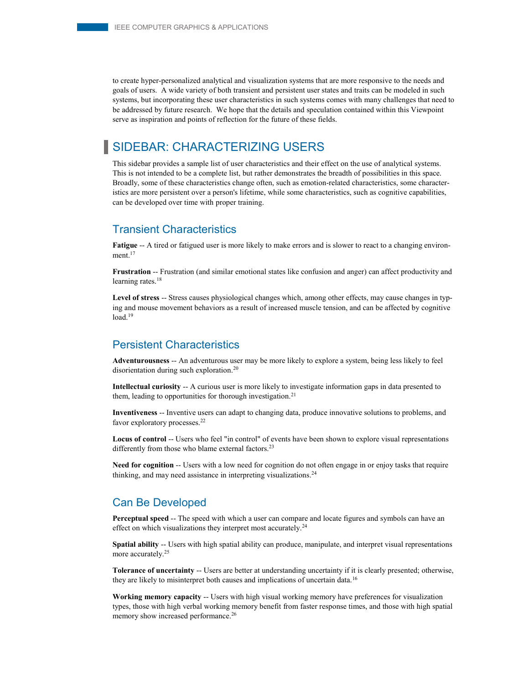to create hyper-personalized analytical and visualization systems that are more responsive to the needs and goals of users. A wide variety of both transient and persistent user states and traits can be modeled in such systems, but incorporating these user characteristics in such systems comes with many challenges that need to be addressed by future research. We hope that the details and speculation contained within this Viewpoint serve as inspiration and points of reflection for the future of these fields.

# SIDEBAR: CHARACTERIZING USERS

This sidebar provides a sample list of user characteristics and their effect on the use of analytical systems. This is not intended to be a complete list, but rather demonstrates the breadth of possibilities in this space. Broadly, some of these characteristics change often, such as emotion-related characteristics, some characteristics are more persistent over a person's lifetime, while some characteristics, such as cognitive capabilities, can be developed over time with proper training.

#### Transient Characteristics

Fatigue -- A tired or fatigued user is more likely to make errors and is slower to react to a changing environment.<sup>17</sup>

Frustration -- Frustration (and similar emotional states like confusion and anger) can affect productivity and learning rates.<sup>18</sup>

Level of stress -- Stress causes physiological changes which, among other effects, may cause changes in typing and mouse movement behaviors as a result of increased muscle tension, and can be affected by cognitive  $load.<sup>19</sup>$ 

#### Persistent Characteristics

Adventurousness -- An adventurous user may be more likely to explore a system, being less likely to feel disorientation during such exploration.<sup>20</sup>

Intellectual curiosity -- A curious user is more likely to investigate information gaps in data presented to them, leading to opportunities for thorough investigation.<sup>21</sup>

Inventiveness -- Inventive users can adapt to changing data, produce innovative solutions to problems, and favor exploratory processes.<sup>22</sup>

Locus of control -- Users who feel "in control" of events have been shown to explore visual representations differently from those who blame external factors.<sup>23</sup>

Need for cognition -- Users with a low need for cognition do not often engage in or enjoy tasks that require thinking, and may need assistance in interpreting visualizations.<sup>24</sup>

#### Can Be Developed

Perceptual speed -- The speed with which a user can compare and locate figures and symbols can have an effect on which visualizations they interpret most accurately.<sup>24</sup>

Spatial ability -- Users with high spatial ability can produce, manipulate, and interpret visual representations more accurately.<sup>25</sup>

Tolerance of uncertainty -- Users are better at understanding uncertainty if it is clearly presented; otherwise, they are likely to misinterpret both causes and implications of uncertain data.<sup>16</sup>

Working memory capacity -- Users with high visual working memory have preferences for visualization types, those with high verbal working memory benefit from faster response times, and those with high spatial memory show increased performance.<sup>26</sup>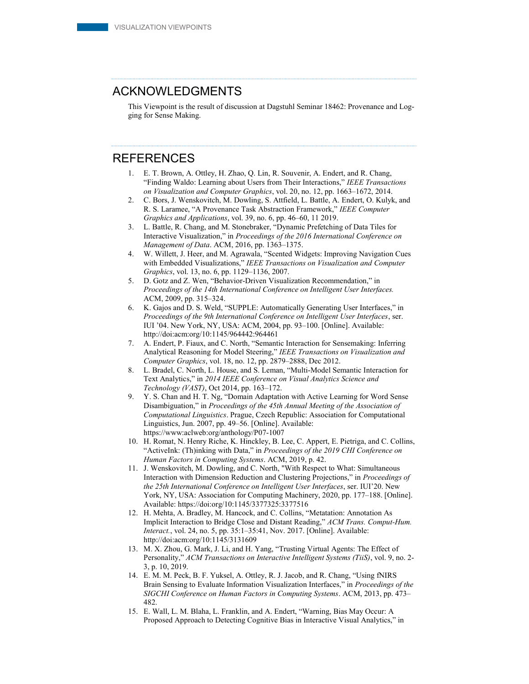#### ACKNOWLEDGMENTS

This Viewpoint is the result of discussion at Dagstuhl Seminar 18462: Provenance and Logging for Sense Making.

### REFERENCES

- 1. E. T. Brown, A. Ottley, H. Zhao, Q. Lin, R. Souvenir, A. Endert, and R. Chang, "Finding Waldo: Learning about Users from Their Interactions," IEEE Transactions on Visualization and Computer Graphics, vol. 20, no. 12, pp. 1663–1672, 2014.
- 2. C. Bors, J. Wenskovitch, M. Dowling, S. Attfield, L. Battle, A. Endert, O. Kulyk, and R. S. Laramee, "A Provenance Task Abstraction Framework," IEEE Computer Graphics and Applications, vol. 39, no. 6, pp. 46–60, 11 2019.
- 3. L. Battle, R. Chang, and M. Stonebraker, "Dynamic Prefetching of Data Tiles for Interactive Visualization," in Proceedings of the 2016 International Conference on Management of Data. ACM, 2016, pp. 1363–1375.
- 4. W. Willett, J. Heer, and M. Agrawala, "Scented Widgets: Improving Navigation Cues with Embedded Visualizations," IEEE Transactions on Visualization and Computer Graphics, vol. 13, no. 6, pp. 1129–1136, 2007.
- 5. D. Gotz and Z. Wen, "Behavior-Driven Visualization Recommendation," in Proceedings of the 14th International Conference on Intelligent User Interfaces. ACM, 2009, pp. 315–324.
- 6. K. Gajos and D. S. Weld, "SUPPLE: Automatically Generating User Interfaces," in Proceedings of the 9th International Conference on Intelligent User Interfaces, ser. IUI '04. New York, NY, USA: ACM, 2004, pp. 93–100. [Online]. Available: http://doi:acm:org/10:1145/964442:964461
- 7. A. Endert, P. Fiaux, and C. North, "Semantic Interaction for Sensemaking: Inferring Analytical Reasoning for Model Steering," IEEE Transactions on Visualization and Computer Graphics, vol. 18, no. 12, pp. 2879–2888, Dec 2012.
- 8. L. Bradel, C. North, L. House, and S. Leman, "Multi-Model Semantic Interaction for Text Analytics," in 2014 IEEE Conference on Visual Analytics Science and Technology (VAST), Oct 2014, pp. 163–172.
- 9. Y. S. Chan and H. T. Ng, "Domain Adaptation with Active Learning for Word Sense Disambiguation," in *Proceedings of the 45th Annual Meeting of the Association of* Computational Linguistics. Prague, Czech Republic: Association for Computational Linguistics, Jun. 2007, pp. 49–56. [Online]. Available: https://www:aclweb:org/anthology/P07-1007
- 10. H. Romat, N. Henry Riche, K. Hinckley, B. Lee, C. Appert, E. Pietriga, and C. Collins, "ActiveInk: (Th)inking with Data," in Proceedings of the 2019 CHI Conference on Human Factors in Computing Systems. ACM, 2019, p. 42.
- 11. J. Wenskovitch, M. Dowling, and C. North, "With Respect to What: Simultaneous Interaction with Dimension Reduction and Clustering Projections," in Proceedings of the 25th International Conference on Intelligent User Interfaces, ser. IUI'20. New York, NY, USA: Association for Computing Machinery, 2020, pp. 177–188. [Online]. Available: https://doi:org/10:1145/3377325:3377516
- 12. H. Mehta, A. Bradley, M. Hancock, and C. Collins, "Metatation: Annotation As Implicit Interaction to Bridge Close and Distant Reading," ACM Trans. Comput-Hum. Interact., vol. 24, no. 5, pp. 35:1–35:41, Nov. 2017. [Online]. Available: http://doi:acm:org/10:1145/3131609
- 13. M. X. Zhou, G. Mark, J. Li, and H. Yang, "Trusting Virtual Agents: The Effect of Personality," ACM Transactions on Interactive Intelligent Systems (TiiS), vol. 9, no. 2- 3, p. 10, 2019.
- 14. E. M. M. Peck, B. F. Yuksel, A. Ottley, R. J. Jacob, and R. Chang, "Using fNIRS Brain Sensing to Evaluate Information Visualization Interfaces," in Proceedings of the SIGCHI Conference on Human Factors in Computing Systems. ACM, 2013, pp. 473– 482.
- 15. E. Wall, L. M. Blaha, L. Franklin, and A. Endert, "Warning, Bias May Occur: A Proposed Approach to Detecting Cognitive Bias in Interactive Visual Analytics," in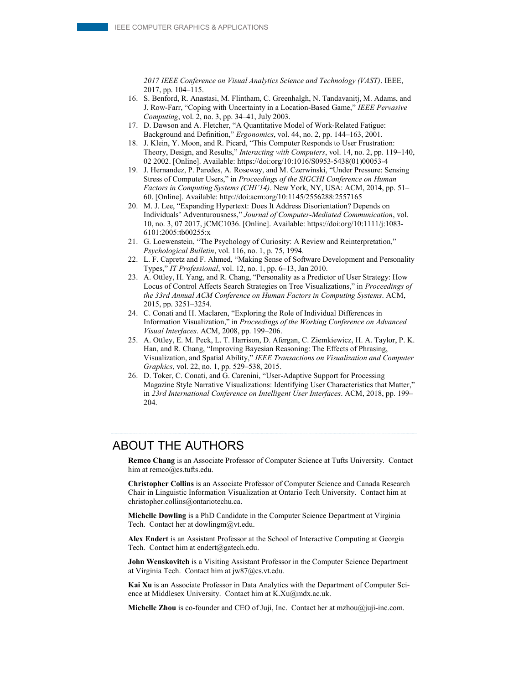2017 IEEE Conference on Visual Analytics Science and Technology (VAST). IEEE, 2017, pp. 104–115.

- 16. S. Benford, R. Anastasi, M. Flintham, C. Greenhalgh, N. Tandavanitj, M. Adams, and J. Row-Farr, "Coping with Uncertainty in a Location-Based Game," IEEE Pervasive Computing, vol. 2, no. 3, pp. 34–41, July 2003.
- 17. D. Dawson and A. Fletcher, "A Quantitative Model of Work-Related Fatigue: Background and Definition," Ergonomics, vol. 44, no. 2, pp. 144–163, 2001.
- 18. J. Klein, Y. Moon, and R. Picard, "This Computer Responds to User Frustration: Theory, Design, and Results," Interacting with Computers, vol. 14, no. 2, pp. 119–140, 02 2002. [Online]. Available: https://doi:org/10:1016/S0953-5438(01)00053-4
- 19. J. Hernandez, P. Paredes, A. Roseway, and M. Czerwinski, "Under Pressure: Sensing Stress of Computer Users," in Proceedings of the SIGCHI Conference on Human Factors in Computing Systems (CHI'14). New York, NY, USA: ACM, 2014, pp. 51– 60. [Online]. Available: http://doi:acm:org/10:1145/2556288:2557165
- 20. M. J. Lee, "Expanding Hypertext: Does It Address Disorientation? Depends on Individuals' Adventurousness," Journal of Computer-Mediated Communication, vol. 10, no. 3, 07 2017, jCMC1036. [Online]. Available: https://doi:org/10:1111/j:1083- 6101:2005:tb00255:x
- 21. G. Loewenstein, "The Psychology of Curiosity: A Review and Reinterpretation," Psychological Bulletin, vol. 116, no. 1, p. 75, 1994.
- 22. L. F. Capretz and F. Ahmed, "Making Sense of Software Development and Personality Types," IT Professional, vol. 12, no. 1, pp. 6–13, Jan 2010.
- 23. A. Ottley, H. Yang, and R. Chang, "Personality as a Predictor of User Strategy: How Locus of Control Affects Search Strategies on Tree Visualizations," in Proceedings of the 33rd Annual ACM Conference on Human Factors in Computing Systems. ACM, 2015, pp. 3251–3254.
- 24. C. Conati and H. Maclaren, "Exploring the Role of Individual Differences in Information Visualization," in Proceedings of the Working Conference on Advanced Visual Interfaces. ACM, 2008, pp. 199–206.
- 25. A. Ottley, E. M. Peck, L. T. Harrison, D. Afergan, C. Ziemkiewicz, H. A. Taylor, P. K. Han, and R. Chang, "Improving Bayesian Reasoning: The Effects of Phrasing, Visualization, and Spatial Ability," IEEE Transactions on Visualization and Computer Graphics, vol. 22, no. 1, pp. 529–538, 2015.
- 26. D. Toker, C. Conati, and G. Carenini, "User-Adaptive Support for Processing Magazine Style Narrative Visualizations: Identifying User Characteristics that Matter," in 23rd International Conference on Intelligent User Interfaces. ACM, 2018, pp. 199– 204.

#### ABOUT THE AUTHORS

Remco Chang is an Associate Professor of Computer Science at Tufts University. Contact him at remco@cs.tufts.edu.

Christopher Collins is an Associate Professor of Computer Science and Canada Research Chair in Linguistic Information Visualization at Ontario Tech University. Contact him at christopher.collins@ontariotechu.ca.

Michelle Dowling is a PhD Candidate in the Computer Science Department at Virginia Tech. Contact her at dowlingm@vt.edu.

Alex Endert is an Assistant Professor at the School of Interactive Computing at Georgia Tech. Contact him at endert@gatech.edu.

John Wenskovitch is a Visiting Assistant Professor in the Computer Science Department at Virginia Tech. Contact him at jw87@cs.vt.edu.

Kai Xu is an Associate Professor in Data Analytics with the Department of Computer Science at Middlesex University. Contact him at K.Xu@mdx.ac.uk.

Michelle Zhou is co-founder and CEO of Juji, Inc. Contact her at mzhou@juji-inc.com.